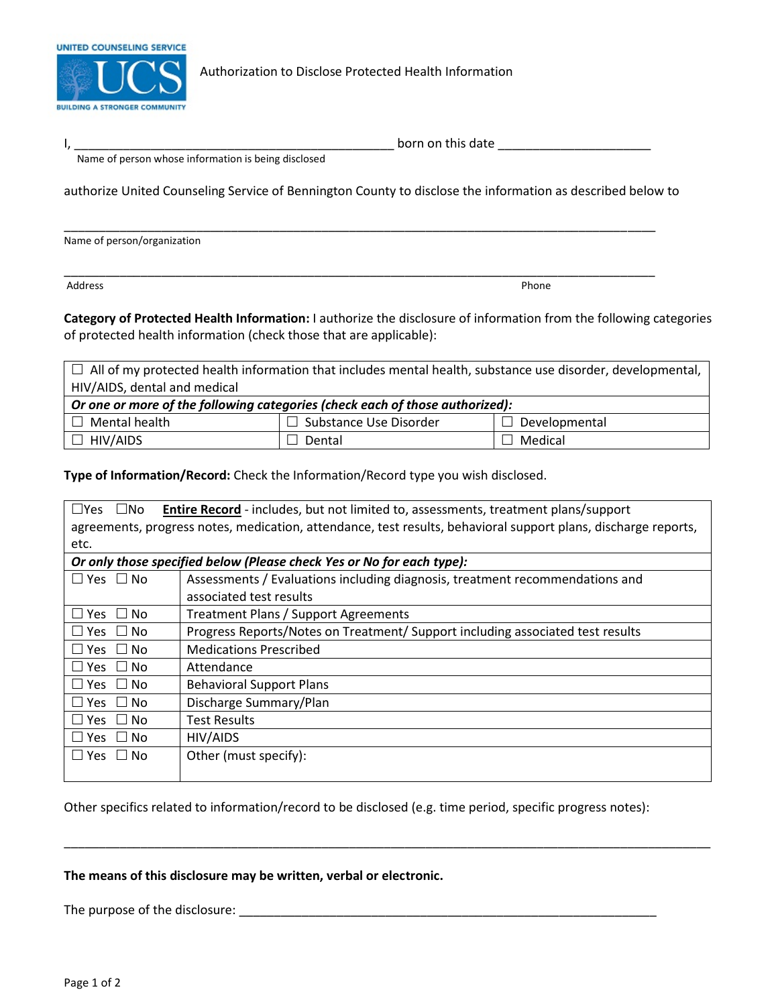

Authorization to Disclose Protected Health Information

| nr.<br>or<br>uuc<br>. <b>.</b> |
|--------------------------------|
|                                |

\_\_\_\_\_\_\_\_\_\_\_\_\_\_\_\_\_\_\_\_\_\_\_\_\_\_\_\_\_\_\_\_\_\_\_\_\_\_\_\_\_\_\_\_\_\_\_\_\_\_\_\_\_\_\_\_\_\_\_\_\_\_\_\_\_\_\_\_\_\_\_\_\_\_\_\_\_\_\_\_\_\_\_\_\_

Name of person whose information is being disclosed

authorize United Counseling Service of Bennington County to disclose the information as described below to

Name of person/organization

Address Phone

\_\_\_\_\_\_\_\_\_\_\_\_\_\_\_\_\_\_\_\_\_\_\_\_\_\_\_\_\_\_\_\_\_\_\_\_\_\_\_\_\_\_\_\_\_\_\_\_\_\_\_\_\_\_\_\_\_\_\_\_\_\_\_\_\_\_\_\_\_\_\_\_\_\_\_\_\_\_\_\_\_\_\_\_\_

**Category of Protected Health Information:** I authorize the disclosure of information from the following categories of protected health information (check those that are applicable):

 $\Box$  All of my protected health information that includes mental health, substance use disorder, developmental, HIV/AIDS, dental and medical

| $^\text{!}$ Or one or more of the following categories (check each of those authorized): |                               |               |  |  |  |  |
|------------------------------------------------------------------------------------------|-------------------------------|---------------|--|--|--|--|
| l Mental health                                                                          | $\Box$ Substance Use Disorder | Developmental |  |  |  |  |
| J HIV/AIDS                                                                               | Dental                        | Medical       |  |  |  |  |

**Type of Information/Record:** Check the Information/Record type you wish disclosed.

| <b>Entire Record</b> - includes, but not limited to, assessments, treatment plans/support<br>$\Box$ No<br>$\sqcup$ Yes |                                                                                |  |  |  |  |  |  |
|------------------------------------------------------------------------------------------------------------------------|--------------------------------------------------------------------------------|--|--|--|--|--|--|
| agreements, progress notes, medication, attendance, test results, behavioral support plans, discharge reports,         |                                                                                |  |  |  |  |  |  |
| etc.                                                                                                                   |                                                                                |  |  |  |  |  |  |
| Or only those specified below (Please check Yes or No for each type):                                                  |                                                                                |  |  |  |  |  |  |
| $\Box$ Yes $\Box$ No                                                                                                   | Assessments / Evaluations including diagnosis, treatment recommendations and   |  |  |  |  |  |  |
|                                                                                                                        | associated test results                                                        |  |  |  |  |  |  |
| □ Yes □ No                                                                                                             | Treatment Plans / Support Agreements                                           |  |  |  |  |  |  |
| □ Yes □ No                                                                                                             | Progress Reports/Notes on Treatment/ Support including associated test results |  |  |  |  |  |  |
| □ Yes □ No                                                                                                             | <b>Medications Prescribed</b>                                                  |  |  |  |  |  |  |
| □ Yes □ No                                                                                                             | Attendance                                                                     |  |  |  |  |  |  |
| □ Yes □ No                                                                                                             | <b>Behavioral Support Plans</b>                                                |  |  |  |  |  |  |
| □ Yes □ No                                                                                                             | Discharge Summary/Plan                                                         |  |  |  |  |  |  |
| □ Yes □ No                                                                                                             | <b>Test Results</b>                                                            |  |  |  |  |  |  |
| □ Yes □ No                                                                                                             | HIV/AIDS                                                                       |  |  |  |  |  |  |
| ∐ Yes ∟ No                                                                                                             | Other (must specify):                                                          |  |  |  |  |  |  |
|                                                                                                                        |                                                                                |  |  |  |  |  |  |

Other specifics related to information/record to be disclosed (e.g. time period, specific progress notes):

\_\_\_\_\_\_\_\_\_\_\_\_\_\_\_\_\_\_\_\_\_\_\_\_\_\_\_\_\_\_\_\_\_\_\_\_\_\_\_\_\_\_\_\_\_\_\_\_\_\_\_\_\_\_\_\_\_\_\_\_\_\_\_\_\_\_\_\_\_\_\_\_\_\_\_\_\_\_\_\_\_\_\_\_\_\_\_\_\_\_\_\_\_

## **The means of this disclosure may be written, verbal or electronic.**

The purpose of the disclosure: \_\_\_\_\_\_\_\_\_\_\_\_\_\_\_\_\_\_\_\_\_\_\_\_\_\_\_\_\_\_\_\_\_\_\_\_\_\_\_\_\_\_\_\_\_\_\_\_\_\_\_\_\_\_\_\_\_\_\_\_